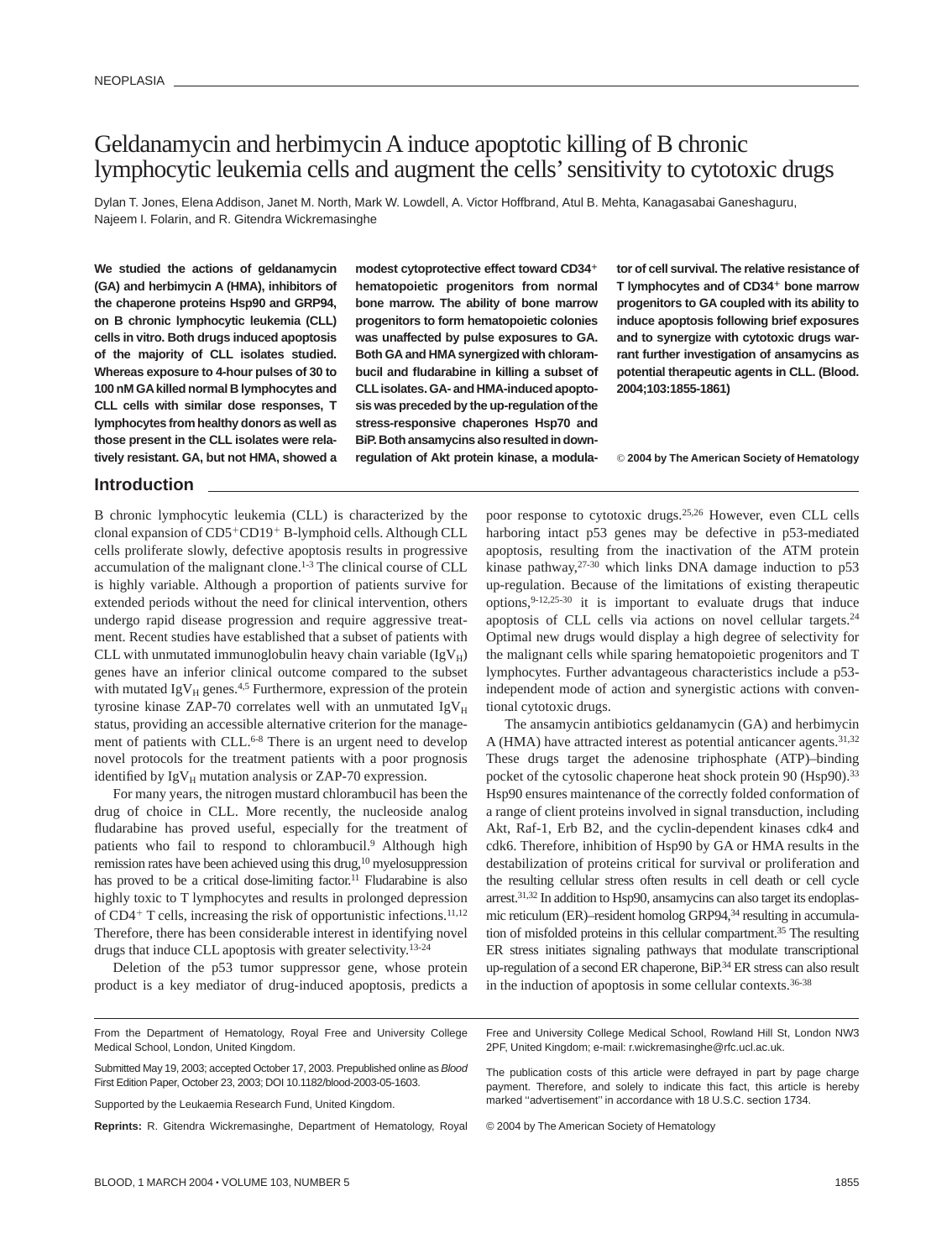# Geldanamycin and herbimycin A induce apoptotic killing of B chronic lymphocytic leukemia cells and augment the cells'sensitivity to cytotoxic drugs

Dylan T. Jones, Elena Addison, Janet M. North, Mark W. Lowdell, A. Victor Hoffbrand, Atul B. Mehta, Kanagasabai Ganeshaguru, Najeem I. Folarin, and R. Gitendra Wickremasinghe

**We studied the actions of geldanamycin (GA) and herbimycin A (HMA), inhibitors of the chaperone proteins Hsp90 and GRP94, on B chronic lymphocytic leukemia (CLL) cells in vitro. Both drugs induced apoptosis of the majority of CLL isolates studied. Whereas exposure to 4-hour pulses of 30 to 100 nM GAkilled normal B lymphocytes and CLL cells with similar dose responses, T lymphocytes from healthy donors as well as those present in the CLL isolates were relatively resistant. GA, but not HMA, showed a** **modest cytoprotective effect toward CD34 hematopoietic progenitors from normal bone marrow. The ability of bone marrow progenitors to form hematopoietic colonies was unaffected by pulse exposures to GA. Both GA and HMA synergized with chlorambucil and fludarabine in killing a subset of CLLisolates. GA- and HMA-induced apoptosis was preceded by the up-regulation of the stress-responsive chaperones Hsp70 and BiP. Both ansamycins also resulted in downregulation of Akt protein kinase, a modula-** **tor of cell survival. The relative resistance of T lymphocytes and of CD34 bone marrow progenitors to GA coupled with its ability to induce apoptosis following brief exposures and to synergize with cytotoxic drugs warrant further investigation of ansamycins as potential therapeutic agents in CLL. (Blood. 2004;103:1855-1861)**

© **2004 by The American Society of Hematology**

# **Introduction**

B chronic lymphocytic leukemia (CLL) is characterized by the clonal expansion of CD5+CD19+ B-lymphoid cells. Although CLL cells proliferate slowly, defective apoptosis results in progressive accumulation of the malignant clone.<sup>1-3</sup> The clinical course of CLL is highly variable. Although a proportion of patients survive for extended periods without the need for clinical intervention, others undergo rapid disease progression and require aggressive treatment. Recent studies have established that a subset of patients with CLL with unmutated immunoglobulin heavy chain variable  $(IgV_H)$ genes have an inferior clinical outcome compared to the subset with mutated  $IgV_H$  genes.<sup>4,5</sup> Furthermore, expression of the protein tyrosine kinase ZAP-70 correlates well with an unmutated  $IgV_H$ status, providing an accessible alternative criterion for the management of patients with CLL.<sup>6-8</sup> There is an urgent need to develop novel protocols for the treatment patients with a poor prognosis identified by  $IgV_H$  mutation analysis or ZAP-70 expression.

For many years, the nitrogen mustard chlorambucil has been the drug of choice in CLL. More recently, the nucleoside analog fludarabine has proved useful, especially for the treatment of patients who fail to respond to chlorambucil.<sup>9</sup> Although high remission rates have been achieved using this drug,10 myelosuppression has proved to be a critical dose-limiting factor.<sup>11</sup> Fludarabine is also highly toxic to T lymphocytes and results in prolonged depression of  $CD4+T$  cells, increasing the risk of opportunistic infections.<sup>11,12</sup> Therefore, there has been considerable interest in identifying novel drugs that induce CLL apoptosis with greater selectivity.13-24

Deletion of the p53 tumor suppressor gene, whose protein product is a key mediator of drug-induced apoptosis, predicts a poor response to cytotoxic drugs.25,26 However, even CLL cells harboring intact p53 genes may be defective in p53-mediated apoptosis, resulting from the inactivation of the ATM protein kinase pathway, $27-30$  which links DNA damage induction to p53 up-regulation. Because of the limitations of existing therapeutic options, $9-12,25-30$  it is important to evaluate drugs that induce apoptosis of CLL cells via actions on novel cellular targets.24 Optimal new drugs would display a high degree of selectivity for the malignant cells while sparing hematopoietic progenitors and T lymphocytes. Further advantageous characteristics include a p53 independent mode of action and synergistic actions with conventional cytotoxic drugs.

The ansamycin antibiotics geldanamycin (GA) and herbimycin A (HMA) have attracted interest as potential anticancer agents.<sup>31,32</sup> These drugs target the adenosine triphosphate (ATP)–binding pocket of the cytosolic chaperone heat shock protein 90 (Hsp90).<sup>33</sup> Hsp90 ensures maintenance of the correctly folded conformation of a range of client proteins involved in signal transduction, including Akt, Raf-1, Erb B2, and the cyclin-dependent kinases cdk4 and cdk6. Therefore, inhibition of Hsp90 by GA or HMA results in the destabilization of proteins critical for survival or proliferation and the resulting cellular stress often results in cell death or cell cycle arrest.31,32 In addition to Hsp90, ansamycins can also target its endoplasmic reticulum (ER)–resident homolog GRP94,<sup>34</sup> resulting in accumulation of misfolded proteins in this cellular compartment.35 The resulting ER stress initiates signaling pathways that modulate transcriptional up-regulation of a second ER chaperone, BiP.34 ER stress can also result in the induction of apoptosis in some cellular contexts.36-38

From the Department of Hematology, Royal Free and University College Medical School, London, United Kingdom. Submitted May 19, 2003; accepted October 17, 2003. Prepublished online as Blood First Edition Paper, October 23, 2003; DOI 10.1182/blood-2003-05-1603. Free and University College Medical School, Rowland Hill St, London NW3 2PF, United Kingdom; e-mail: r.wickremasinghe@rfc.ucl.ac.uk. The publication costs of this article were defrayed in part by page charge

Supported by the Leukaemia Research Fund, United Kingdom.

**Reprints:** R. Gitendra Wickremasinghe, Department of Hematology, Royal

payment. Therefore, and solely to indicate this fact, this article is hereby marked "advertisement" in accordance with 18 U.S.C. section 1734.

© 2004 by The American Society of Hematology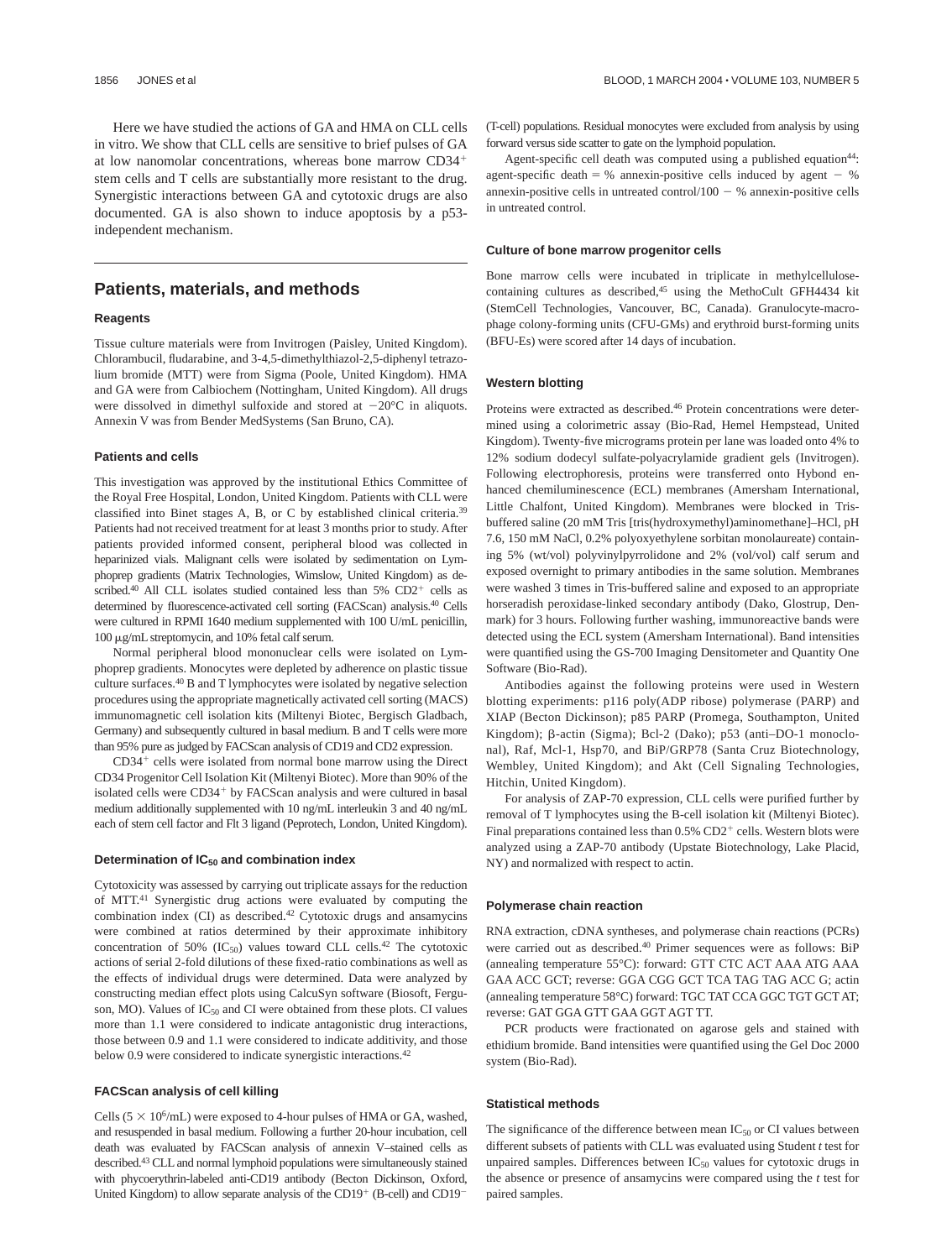Here we have studied the actions of GA and HMA on CLL cells in vitro. We show that CLL cells are sensitive to brief pulses of GA at low nanomolar concentrations, whereas bone marrow CD34 stem cells and T cells are substantially more resistant to the drug. Synergistic interactions between GA and cytotoxic drugs are also documented. GA is also shown to induce apoptosis by a p53 independent mechanism.

### **Patients, materials, and methods**

### **Reagents**

Tissue culture materials were from Invitrogen (Paisley, United Kingdom). Chlorambucil, fludarabine, and 3-4,5-dimethylthiazol-2,5-diphenyl tetrazolium bromide (MTT) were from Sigma (Poole, United Kingdom). HMA and GA were from Calbiochem (Nottingham, United Kingdom). All drugs were dissolved in dimethyl sulfoxide and stored at  $-20^{\circ}$ C in aliquots. Annexin V was from Bender MedSystems (San Bruno, CA).

### **Patients and cells**

This investigation was approved by the institutional Ethics Committee of the Royal Free Hospital, London, United Kingdom. Patients with CLL were classified into Binet stages A, B, or C by established clinical criteria.39 Patients had not received treatment for at least 3 months prior to study. After patients provided informed consent, peripheral blood was collected in heparinized vials. Malignant cells were isolated by sedimentation on Lymphoprep gradients (Matrix Technologies, Wimslow, United Kingdom) as described.<sup>40</sup> All CLL isolates studied contained less than  $5\%$  CD2<sup>+</sup> cells as determined by fluorescence-activated cell sorting (FACScan) analysis.40 Cells were cultured in RPMI 1640 medium supplemented with 100 U/mL penicillin, 100 g/mL streptomycin, and 10% fetal calf serum.

Normal peripheral blood mononuclear cells were isolated on Lymphoprep gradients. Monocytes were depleted by adherence on plastic tissue culture surfaces.40 B and T lymphocytes were isolated by negative selection procedures using the appropriate magnetically activated cell sorting (MACS) immunomagnetic cell isolation kits (Miltenyi Biotec, Bergisch Gladbach, Germany) and subsequently cultured in basal medium. B and T cells were more than 95% pure as judged by FACScan analysis of CD19 and CD2 expression.

 $CD34<sup>+</sup>$  cells were isolated from normal bone marrow using the Direct CD34 Progenitor Cell Isolation Kit (Miltenyi Biotec). More than 90% of the isolated cells were CD34<sup>+</sup> by FACScan analysis and were cultured in basal medium additionally supplemented with 10 ng/mL interleukin 3 and 40 ng/mL each of stem cell factor and Flt 3 ligand (Peprotech, London, United Kingdom).

#### **Determination of IC50 and combination index**

Cytotoxicity was assessed by carrying out triplicate assays for the reduction of MTT.41 Synergistic drug actions were evaluated by computing the combination index  $(CI)$  as described.<sup>42</sup> Cytotoxic drugs and ansamycins were combined at ratios determined by their approximate inhibitory concentration of 50% (IC $_{50}$ ) values toward CLL cells.<sup>42</sup> The cytotoxic actions of serial 2-fold dilutions of these fixed-ratio combinations as well as the effects of individual drugs were determined. Data were analyzed by constructing median effect plots using CalcuSyn software (Biosoft, Ferguson, MO). Values of  $IC_{50}$  and CI were obtained from these plots. CI values more than 1.1 were considered to indicate antagonistic drug interactions, those between 0.9 and 1.1 were considered to indicate additivity, and those below 0.9 were considered to indicate synergistic interactions.<sup>42</sup>

### **FACScan analysis of cell killing**

Cells ( $5 \times 10^6$ /mL) were exposed to 4-hour pulses of HMA or GA, washed, and resuspended in basal medium. Following a further 20-hour incubation, cell death was evaluated by FACScan analysis of annexin V–stained cells as described.43 CLL and normal lymphoid populations were simultaneously stained with phycoerythrin-labeled anti-CD19 antibody (Becton Dickinson, Oxford, United Kingdom) to allow separate analysis of the CD19<sup>+</sup> (B-cell) and CD19<sup>-</sup>

(T-cell) populations. Residual monocytes were excluded from analysis by using forward versus side scatter to gate on the lymphoid population.

Agent-specific cell death was computed using a published equation<sup>44</sup>: agent-specific death  $=$  % annexin-positive cells induced by agent  $-$  % annexin-positive cells in untreated control/ $100 - %$  annexin-positive cells in untreated control.

#### **Culture of bone marrow progenitor cells**

Bone marrow cells were incubated in triplicate in methylcellulosecontaining cultures as described,<sup>45</sup> using the MethoCult GFH4434 kit (StemCell Technologies, Vancouver, BC, Canada). Granulocyte-macrophage colony-forming units (CFU-GMs) and erythroid burst-forming units (BFU-Es) were scored after 14 days of incubation.

#### **Western blotting**

Proteins were extracted as described.<sup>46</sup> Protein concentrations were determined using a colorimetric assay (Bio-Rad, Hemel Hempstead, United Kingdom). Twenty-five micrograms protein per lane was loaded onto 4% to 12% sodium dodecyl sulfate-polyacrylamide gradient gels (Invitrogen). Following electrophoresis, proteins were transferred onto Hybond enhanced chemiluminescence (ECL) membranes (Amersham International, Little Chalfont, United Kingdom). Membranes were blocked in Trisbuffered saline (20 mM Tris [tris(hydroxymethyl)aminomethane]–HCl, pH 7.6, 150 mM NaCl, 0.2% polyoxyethylene sorbitan monolaureate) containing 5% (wt/vol) polyvinylpyrrolidone and 2% (vol/vol) calf serum and exposed overnight to primary antibodies in the same solution. Membranes were washed 3 times in Tris-buffered saline and exposed to an appropriate horseradish peroxidase-linked secondary antibody (Dako, Glostrup, Denmark) for 3 hours. Following further washing, immunoreactive bands were detected using the ECL system (Amersham International). Band intensities were quantified using the GS-700 Imaging Densitometer and Quantity One Software (Bio-Rad).

Antibodies against the following proteins were used in Western blotting experiments: p116 poly(ADP ribose) polymerase (PARP) and XIAP (Becton Dickinson); p85 PARP (Promega, Southampton, United Kingdom);  $\beta$ -actin (Sigma); Bcl-2 (Dako); p53 (anti-DO-1 monoclonal), Raf, Mcl-1, Hsp70, and BiP/GRP78 (Santa Cruz Biotechnology, Wembley, United Kingdom); and Akt (Cell Signaling Technologies, Hitchin, United Kingdom).

For analysis of ZAP-70 expression, CLL cells were purified further by removal of T lymphocytes using the B-cell isolation kit (Miltenyi Biotec). Final preparations contained less than  $0.5\%$  CD2<sup>+</sup> cells. Western blots were analyzed using a ZAP-70 antibody (Upstate Biotechnology, Lake Placid, NY) and normalized with respect to actin.

#### **Polymerase chain reaction**

RNA extraction, cDNA syntheses, and polymerase chain reactions (PCRs) were carried out as described.40 Primer sequences were as follows: BiP (annealing temperature 55°C): forward: GTT CTC ACT AAA ATG AAA GAA ACC GCT; reverse: GGA CGG GCT TCA TAG TAG ACC G; actin (annealing temperature 58°C) forward: TGC TAT CCA GGC TGT GCT AT; reverse: GAT GGA GTT GAA GGT AGT TT.

PCR products were fractionated on agarose gels and stained with ethidium bromide. Band intensities were quantified using the Gel Doc 2000 system (Bio-Rad).

#### **Statistical methods**

The significance of the difference between mean  $IC_{50}$  or CI values between different subsets of patients with CLL was evaluated using Student *t* test for unpaired samples. Differences between  $IC_{50}$  values for cytotoxic drugs in the absence or presence of ansamycins were compared using the *t* test for paired samples.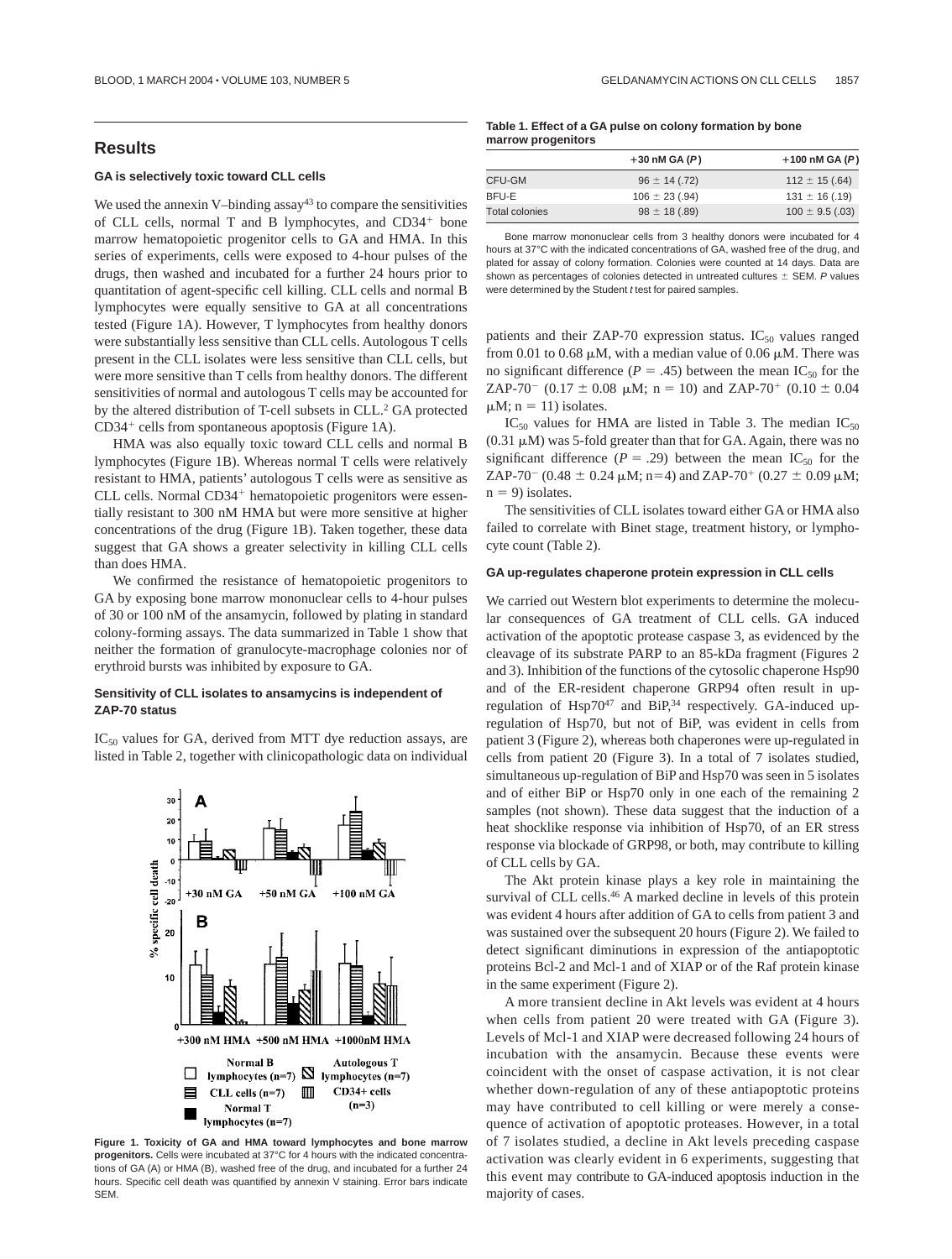## **Results**

### **GA is selectively toxic toward CLL cells**

We used the annexin V–binding  $assay<sup>43</sup>$  to compare the sensitivities of CLL cells, normal T and B lymphocytes, and CD34<sup>+</sup> bone marrow hematopoietic progenitor cells to GA and HMA. In this series of experiments, cells were exposed to 4-hour pulses of the drugs, then washed and incubated for a further 24 hours prior to quantitation of agent-specific cell killing. CLL cells and normal B lymphocytes were equally sensitive to GA at all concentrations tested (Figure 1A). However, T lymphocytes from healthy donors were substantially less sensitive than CLL cells. Autologous T cells present in the CLL isolates were less sensitive than CLL cells, but were more sensitive than T cells from healthy donors. The different sensitivities of normal and autologous T cells may be accounted for by the altered distribution of T-cell subsets in CLL.<sup>2</sup> GA protected  $CD34<sup>+</sup>$  cells from spontaneous apoptosis (Figure 1A).

HMA was also equally toxic toward CLL cells and normal B lymphocytes (Figure 1B). Whereas normal T cells were relatively resistant to HMA, patients' autologous T cells were as sensitive as CLL cells. Normal CD34<sup>+</sup> hematopoietic progenitors were essentially resistant to 300 nM HMA but were more sensitive at higher concentrations of the drug (Figure 1B). Taken together, these data suggest that GA shows a greater selectivity in killing CLL cells than does HMA.

We confirmed the resistance of hematopoietic progenitors to GA by exposing bone marrow mononuclear cells to 4-hour pulses of 30 or 100 nM of the ansamycin, followed by plating in standard colony-forming assays. The data summarized in Table 1 show that neither the formation of granulocyte-macrophage colonies nor of erythroid bursts was inhibited by exposure to GA.

### **Sensitivity of CLL isolates to ansamycins is independent of ZAP-70 status**

 $IC_{50}$  values for GA, derived from MTT dye reduction assays, are listed in Table 2, together with clinicopathologic data on individual



**Figure 1. Toxicity of GA and HMA toward lymphocytes and bone marrow progenitors.** Cells were incubated at 37°C for 4 hours with the indicated concentrations of GA (A) or HMA (B), washed free of the drug, and incubated for a further 24 hours. Specific cell death was quantified by annexin V staining. Error bars indicate SEM.

#### **Table 1. Effect of a GA pulse on colony formation by bone marrow progenitors**

|                | $+30$ nM GA $(P)$  | $+100$ nM GA $(P)$  |
|----------------|--------------------|---------------------|
| CFU-GM         | $96 \pm 14$ (.72)  | $112 \pm 15$ (.64)  |
| BFU-E          | $106 \pm 23$ (.94) | $131 \pm 16$ (.19)  |
| Total colonies | $98 \pm 18(0.89)$  | $100 \pm 9.5$ (.03) |

Bone marrow mononuclear cells from 3 healthy donors were incubated for 4 hours at 37°C with the indicated concentrations of GA, washed free of the drug, and plated for assay of colony formation. Colonies were counted at 14 days. Data are shown as percentages of colonies detected in untreated cultures  $\pm$  SEM. P values were determined by the Student t test for paired samples.

patients and their ZAP-70 expression status.  $IC_{50}$  values ranged from 0.01 to 0.68  $\mu$ M, with a median value of 0.06  $\mu$ M. There was no significant difference ( $P = .45$ ) between the mean IC<sub>50</sub> for the ZAP-70<sup>-</sup> (0.17  $\pm$  0.08  $\mu$ M; n = 10) and ZAP-70<sup>+</sup> (0.10  $\pm$  0.04  $\mu$ M; n = 11) isolates.

 $IC_{50}$  values for HMA are listed in Table 3. The median  $IC_{50}$  $(0.31 \mu M)$  was 5-fold greater than that for GA. Again, there was no significant difference ( $P = .29$ ) between the mean IC<sub>50</sub> for the ZAP-70<sup>-</sup> (0.48  $\pm$  0.24  $\mu$ M; n=4) and ZAP-70<sup>+</sup> (0.27  $\pm$  0.09  $\mu$ M;  $n = 9$ ) isolates.

The sensitivities of CLL isolates toward either GA or HMA also failed to correlate with Binet stage, treatment history, or lymphocyte count (Table 2).

#### **GA up-regulates chaperone protein expression in CLL cells**

We carried out Western blot experiments to determine the molecular consequences of GA treatment of CLL cells. GA induced activation of the apoptotic protease caspase 3, as evidenced by the cleavage of its substrate PARP to an 85-kDa fragment (Figures 2 and 3). Inhibition of the functions of the cytosolic chaperone Hsp90 and of the ER-resident chaperone GRP94 often result in upregulation of Hsp70<sup>47</sup> and BiP,<sup>34</sup> respectively. GA-induced upregulation of Hsp70, but not of BiP, was evident in cells from patient 3 (Figure 2), whereas both chaperones were up-regulated in cells from patient 20 (Figure 3). In a total of 7 isolates studied, simultaneous up-regulation of BiP and Hsp70 was seen in 5 isolates and of either BiP or Hsp70 only in one each of the remaining 2 samples (not shown). These data suggest that the induction of a heat shocklike response via inhibition of Hsp70, of an ER stress response via blockade of GRP98, or both, may contribute to killing of CLL cells by GA.

The Akt protein kinase plays a key role in maintaining the survival of CLL cells.<sup>46</sup> A marked decline in levels of this protein was evident 4 hours after addition of GA to cells from patient 3 and was sustained over the subsequent 20 hours (Figure 2). We failed to detect significant diminutions in expression of the antiapoptotic proteins Bcl-2 and Mcl-1 and of XIAP or of the Raf protein kinase in the same experiment (Figure 2).

A more transient decline in Akt levels was evident at 4 hours when cells from patient 20 were treated with GA (Figure 3). Levels of Mcl-1 and XIAP were decreased following 24 hours of incubation with the ansamycin. Because these events were coincident with the onset of caspase activation, it is not clear whether down-regulation of any of these antiapoptotic proteins may have contributed to cell killing or were merely a consequence of activation of apoptotic proteases. However, in a total of 7 isolates studied, a decline in Akt levels preceding caspase activation was clearly evident in 6 experiments, suggesting that this event may contribute to GA-induced apoptosis induction in the majority of cases.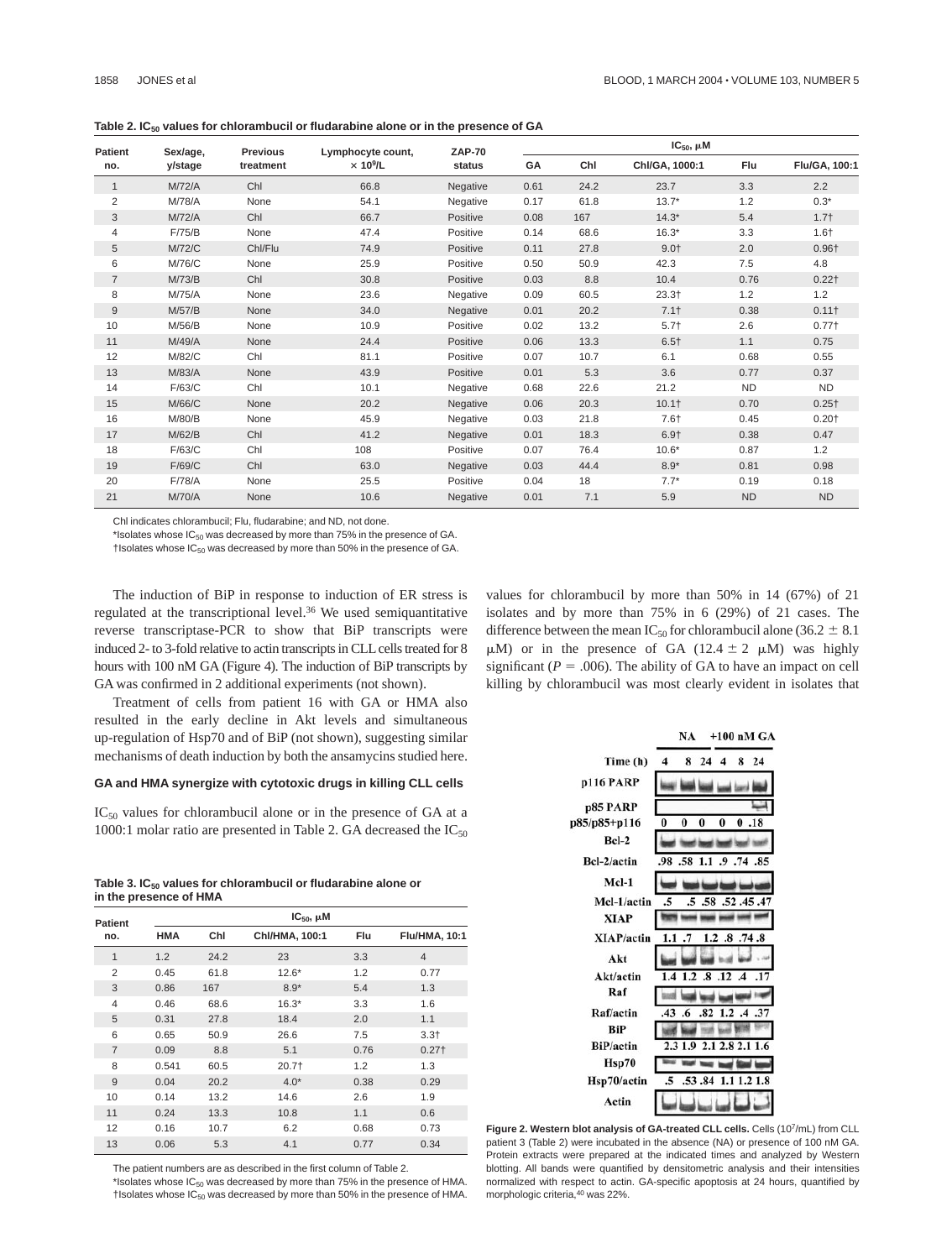Table 2. IC<sub>50</sub> values for chlorambucil or fludarabine alone or in the presence of GA

| <b>Patient</b><br>no. | Sex/age,<br>y/stage | <b>Previous</b><br>treatment | Lymphocyte count,<br>$\times$ 10 <sup>9</sup> /L | <b>ZAP-70</b><br>status | $IC_{50}$ , $\mu$ M |      |                |           |                   |
|-----------------------|---------------------|------------------------------|--------------------------------------------------|-------------------------|---------------------|------|----------------|-----------|-------------------|
|                       |                     |                              |                                                  |                         | GA                  | Chl  | Chl/GA, 1000:1 | Flu       | Flu/GA, 100:1     |
| $\mathbf{1}$          | M/72/A              | Chl                          | 66.8                                             | Negative                | 0.61                | 24.2 | 23.7           | 3.3       | 2.2               |
| $\overline{2}$        | M/78/A              | None                         | 54.1                                             | Negative                | 0.17                | 61.8 | $13.7*$        | 1.2       | $0.3*$            |
| 3                     | M/72/A              | Chl                          | 66.7                                             | Positive                | 0.08                | 167  | $14.3*$        | 5.4       | $1.7+$            |
| 4                     | F/75/B              | None                         | 47.4                                             | Positive                | 0.14                | 68.6 | $16.3*$        | 3.3       | $1.6+$            |
| 5                     | <b>M/72/C</b>       | Chl/Flu                      | 74.9                                             | Positive                | 0.11                | 27.8 | $9.0+$         | 2.0       | $0.96+$           |
| 6                     | M/76/C              | None                         | 25.9                                             | Positive                | 0.50                | 50.9 | 42.3           | 7.5       | 4.8               |
| $\overline{7}$        | M/73/B              | Chl                          | 30.8                                             | Positive                | 0.03                | 8.8  | 10.4           | 0.76      | $0.22$ †          |
| 8                     | M/75/A              | None                         | 23.6                                             | Negative                | 0.09                | 60.5 | $23.3+$        | 1.2       | 1.2               |
| $9\,$                 | M/57/B              | None                         | 34.0                                             | Negative                | 0.01                | 20.2 | $7.1+$         | 0.38      | 0.11 <sup>†</sup> |
| 10                    | M/56/B              | None                         | 10.9                                             | Positive                | 0.02                | 13.2 | $5.7+$         | 2.6       | 0.77 <sup>†</sup> |
| 11                    | M/49/A              | None                         | 24.4                                             | Positive                | 0.06                | 13.3 | $6.5+$         | 1.1       | 0.75              |
| 12                    | M/82/C              | Chl                          | 81.1                                             | Positive                | 0.07                | 10.7 | 6.1            | 0.68      | 0.55              |
| 13                    | M/83/A              | None                         | 43.9                                             | Positive                | 0.01                | 5.3  | 3.6            | 0.77      | 0.37              |
| 14                    | F/63/C              | Chl                          | 10.1                                             | Negative                | 0.68                | 22.6 | 21.2           | <b>ND</b> | <b>ND</b>         |
| 15                    | M/66/C              | None                         | 20.2                                             | Negative                | 0.06                | 20.3 | $10.1+$        | 0.70      | $0.25+$           |
| 16                    | M/80/B              | None                         | 45.9                                             | Negative                | 0.03                | 21.8 | $7.6+$         | 0.45      | $0.20+$           |
| 17                    | M/62/B              | Chl                          | 41.2                                             | Negative                | 0.01                | 18.3 | $6.9+$         | 0.38      | 0.47              |
| 18                    | F/63/C              | Chl                          | 108                                              | Positive                | 0.07                | 76.4 | $10.6*$        | 0.87      | 1.2               |
| 19                    | F/69/C              | Chl                          | 63.0                                             | Negative                | 0.03                | 44.4 | $8.9*$         | 0.81      | 0.98              |
| 20                    | F/78/A              | None                         | 25.5                                             | Positive                | 0.04                | 18   | $7.7*$         | 0.19      | 0.18              |
| 21                    | M/70/A              | None                         | 10.6                                             | Negative                | 0.01                | 7.1  | 5.9            | <b>ND</b> | <b>ND</b>         |

Chl indicates chlorambucil; Flu, fludarabine; and ND, not done.

\*Isolates whose  $IC_{50}$  was decreased by more than 75% in the presence of GA.

 $†$ Isolates whose IC<sub>50</sub> was decreased by more than 50% in the presence of GA.

The induction of BiP in response to induction of ER stress is regulated at the transcriptional level.36 We used semiquantitative reverse transcriptase-PCR to show that BiP transcripts were induced 2- to 3-fold relative to actin transcripts in CLL cells treated for 8 hours with 100 nM GA (Figure 4). The induction of BiP transcripts by GA was confirmed in 2 additional experiments (not shown).

Treatment of cells from patient 16 with GA or HMA also resulted in the early decline in Akt levels and simultaneous up-regulation of Hsp70 and of BiP (not shown), suggesting similar mechanisms of death induction by both the ansamycins studied here.

### **GA and HMA synergize with cytotoxic drugs in killing CLL cells**

 $IC_{50}$  values for chlorambucil alone or in the presence of GA at a 1000:1 molar ratio are presented in Table 2. GA decreased the  $IC_{50}$ 

| Table 3. $IC_{50}$ values for chlorambucil or fludarabine alone or |
|--------------------------------------------------------------------|
| in the presence of HMA                                             |

| <b>Patient</b> | $IC_{50}$ , $\mu$ M     |              |                    |            |                      |  |  |
|----------------|-------------------------|--------------|--------------------|------------|----------------------|--|--|
| no.            | <b>HMA</b>              | Chl          | Chl/HMA, 100:1     | Flu        | <b>Flu/HMA, 10:1</b> |  |  |
| $\mathbf{1}$   | 1.2                     | 24.2         | 23                 | 3.3        | $\overline{4}$       |  |  |
| 2              | 0.45                    | 61.8         | $12.6*$<br>1.2     |            | 0.77                 |  |  |
| 3              | 0.86                    | 167          | $8.9*$<br>5.4      |            | 1.3                  |  |  |
| 4              | 0.46<br>68.6<br>$16.3*$ |              | 3.3                | 1.6        |                      |  |  |
| 5              | 0.31                    | 18.4<br>27.8 |                    | 2.0<br>7.5 | 1.1                  |  |  |
| 6              | 0.65<br>50.9            |              | 26.6               |            | $3.3+$               |  |  |
| $\overline{7}$ | 0.09                    | 8.8          | 5.1                | 0.76       | $0.27+$              |  |  |
| 8              | 0.541                   | 60.5         | $20.7+$            | 1.2        | 1.3                  |  |  |
| 9              | 0.04                    | 20.2         | $4.0*$             | 0.38       | 0.29                 |  |  |
| 10             | 0.14                    | 13.2         | 14.6               | 2.6        | 1.9                  |  |  |
| 11             | 0.24                    | 13.3         | 1.1<br>10.8<br>0.6 |            |                      |  |  |
| 12             | 0.16                    | 10.7         | 6.2                | 0.68       | 0.73                 |  |  |
| 13             | 0.06                    | 5.3          | 4.1                | 0.77       | 0.34                 |  |  |

The patient numbers are as described in the first column of Table 2.

\*Isolates whose  $IC_{50}$  was decreased by more than 75% in the presence of HMA.  $\dagger$ Isolates whose IC<sub>50</sub> was decreased by more than 50% in the presence of HMA. values for chlorambucil by more than 50% in 14 (67%) of 21 isolates and by more than 75% in 6 (29%) of 21 cases. The difference between the mean IC<sub>50</sub> for chlorambucil alone (36.2  $\pm$  8.1)  $\mu$ M) or in the presence of GA (12.4  $\pm$  2  $\mu$ M) was highly significant ( $P = .006$ ). The ability of GA to have an impact on cell killing by chlorambucil was most clearly evident in isolates that



**Figure 2. Western blot analysis of GA-treated CLL cells.** Cells (107/mL) from CLL patient 3 (Table 2) were incubated in the absence (NA) or presence of 100 nM GA. Protein extracts were prepared at the indicated times and analyzed by Western blotting. All bands were quantified by densitometric analysis and their intensities normalized with respect to actin. GA-specific apoptosis at 24 hours, quantified by morphologic criteria,40 was 22%.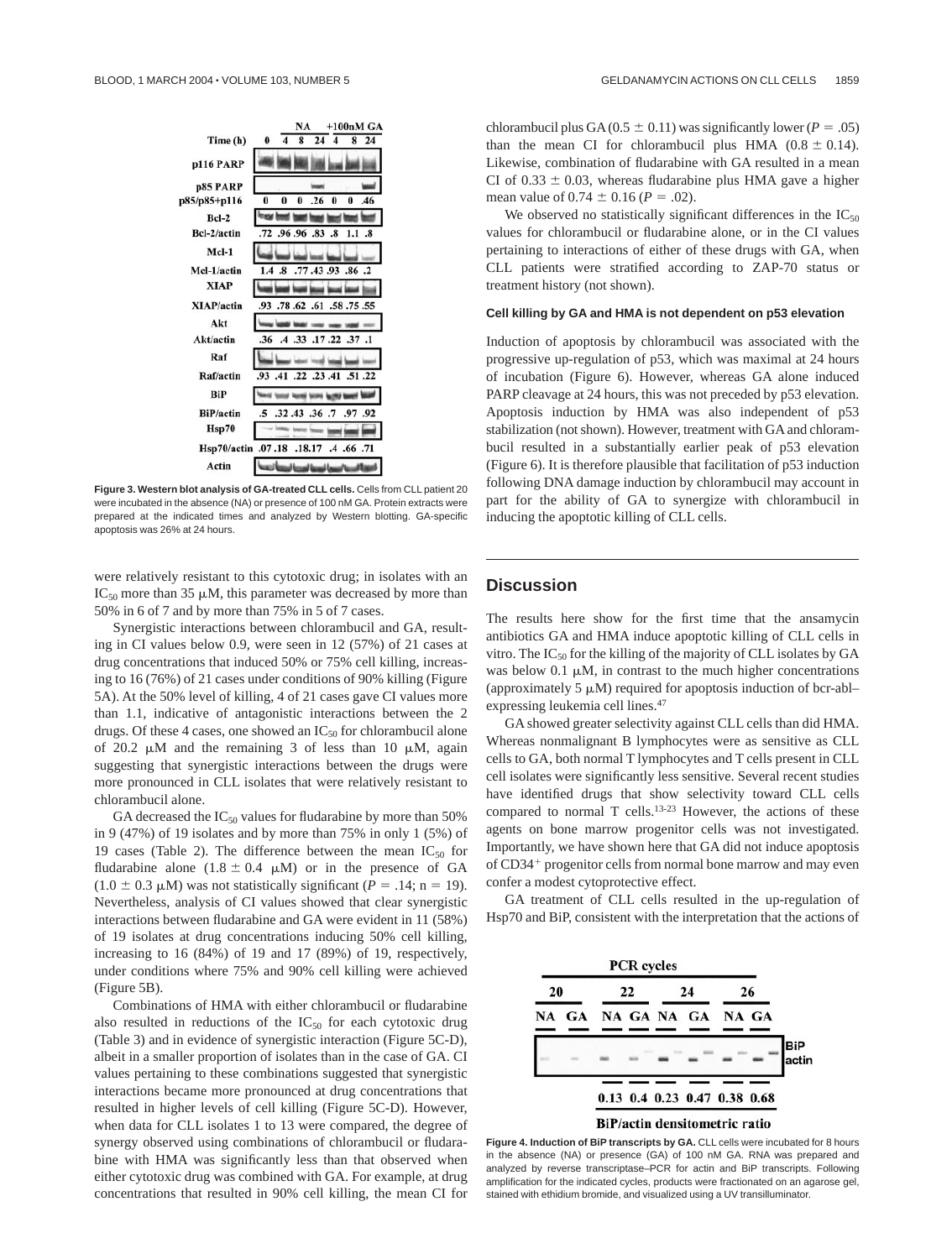

**Figure 3. Western blot analysis of GA-treated CLL cells.** Cells from CLL patient 20 were incubated in the absence (NA) or presence of 100 nM GA. Protein extracts were prepared at the indicated times and analyzed by Western blotting. GA-specific apoptosis was 26% at 24 hours.

were relatively resistant to this cytotoxic drug; in isolates with an  $IC_{50}$  more than 35  $\mu$ M, this parameter was decreased by more than 50% in 6 of 7 and by more than 75% in 5 of 7 cases.

Synergistic interactions between chlorambucil and GA, resulting in CI values below 0.9, were seen in 12 (57%) of 21 cases at drug concentrations that induced 50% or 75% cell killing, increasing to 16 (76%) of 21 cases under conditions of 90% killing (Figure 5A). At the 50% level of killing, 4 of 21 cases gave CI values more than 1.1, indicative of antagonistic interactions between the 2 drugs. Of these 4 cases, one showed an  $IC_{50}$  for chlorambucil alone of 20.2  $\mu$ M and the remaining 3 of less than 10  $\mu$ M, again suggesting that synergistic interactions between the drugs were more pronounced in CLL isolates that were relatively resistant to chlorambucil alone.

GA decreased the  $IC_{50}$  values for fludarabine by more than 50% in 9 (47%) of 19 isolates and by more than 75% in only 1 (5%) of 19 cases (Table 2). The difference between the mean  $IC_{50}$  for fludarabine alone  $(1.8 \pm 0.4 \mu M)$  or in the presence of GA  $(1.0 \pm 0.3 \,\mu\text{M})$  was not statistically significant (*P* = .14; n = 19). Nevertheless, analysis of CI values showed that clear synergistic interactions between fludarabine and GA were evident in 11 (58%) of 19 isolates at drug concentrations inducing 50% cell killing, increasing to 16 (84%) of 19 and 17 (89%) of 19, respectively, under conditions where 75% and 90% cell killing were achieved (Figure 5B).

Combinations of HMA with either chlorambucil or fludarabine also resulted in reductions of the  $IC_{50}$  for each cytotoxic drug (Table 3) and in evidence of synergistic interaction (Figure 5C-D), albeit in a smaller proportion of isolates than in the case of GA. CI values pertaining to these combinations suggested that synergistic interactions became more pronounced at drug concentrations that resulted in higher levels of cell killing (Figure 5C-D). However, when data for CLL isolates 1 to 13 were compared, the degree of synergy observed using combinations of chlorambucil or fludarabine with HMA was significantly less than that observed when either cytotoxic drug was combined with GA. For example, at drug concentrations that resulted in 90% cell killing, the mean CI for chlorambucil plus GA( $0.5 \pm 0.11$ ) was significantly lower ( $P = .05$ ) than the mean CI for chlorambucil plus HMA  $(0.8 \pm 0.14)$ . Likewise, combination of fludarabine with GA resulted in a mean CI of  $0.33 \pm 0.03$ , whereas fludarabine plus HMA gave a higher mean value of  $0.74 \pm 0.16$  ( $P = .02$ ).

We observed no statistically significant differences in the  $IC_{50}$ values for chlorambucil or fludarabine alone, or in the CI values pertaining to interactions of either of these drugs with GA, when CLL patients were stratified according to ZAP-70 status or treatment history (not shown).

### **Cell killing by GA and HMA is not dependent on p53 elevation**

Induction of apoptosis by chlorambucil was associated with the progressive up-regulation of p53, which was maximal at 24 hours of incubation (Figure 6). However, whereas GA alone induced PARP cleavage at 24 hours, this was not preceded by p53 elevation. Apoptosis induction by HMA was also independent of p53 stabilization (not shown). However, treatment with GA and chlorambucil resulted in a substantially earlier peak of p53 elevation (Figure 6). It is therefore plausible that facilitation of p53 induction following DNA damage induction by chlorambucil may account in part for the ability of GA to synergize with chlorambucil in inducing the apoptotic killing of CLL cells.

# **Discussion**

The results here show for the first time that the ansamycin antibiotics GA and HMA induce apoptotic killing of CLL cells in vitro. The  $IC_{50}$  for the killing of the majority of CLL isolates by GA was below 0.1  $\mu$ M, in contrast to the much higher concentrations (approximately  $5 \mu M$ ) required for apoptosis induction of bcr-ablexpressing leukemia cell lines.47

GA showed greater selectivity against CLL cells than did HMA. Whereas nonmalignant B lymphocytes were as sensitive as CLL cells to GA, both normal T lymphocytes and T cells present in CLL cell isolates were significantly less sensitive. Several recent studies have identified drugs that show selectivity toward CLL cells compared to normal T cells.13-23 However, the actions of these agents on bone marrow progenitor cells was not investigated. Importantly, we have shown here that GA did not induce apoptosis of CD34<sup>+</sup> progenitor cells from normal bone marrow and may even confer a modest cytoprotective effect.

GA treatment of CLL cells resulted in the up-regulation of Hsp70 and BiP, consistent with the interpretation that the actions of



**Figure 4. Induction of BiP transcripts by GA.** CLL cells were incubated for 8 hours in the absence (NA) or presence (GA) of 100 nM GA. RNA was prepared and analyzed by reverse transcriptase–PCR for actin and BiP transcripts. Following amplification for the indicated cycles, products were fractionated on an agarose gel, stained with ethidium bromide, and visualized using a UV transilluminator.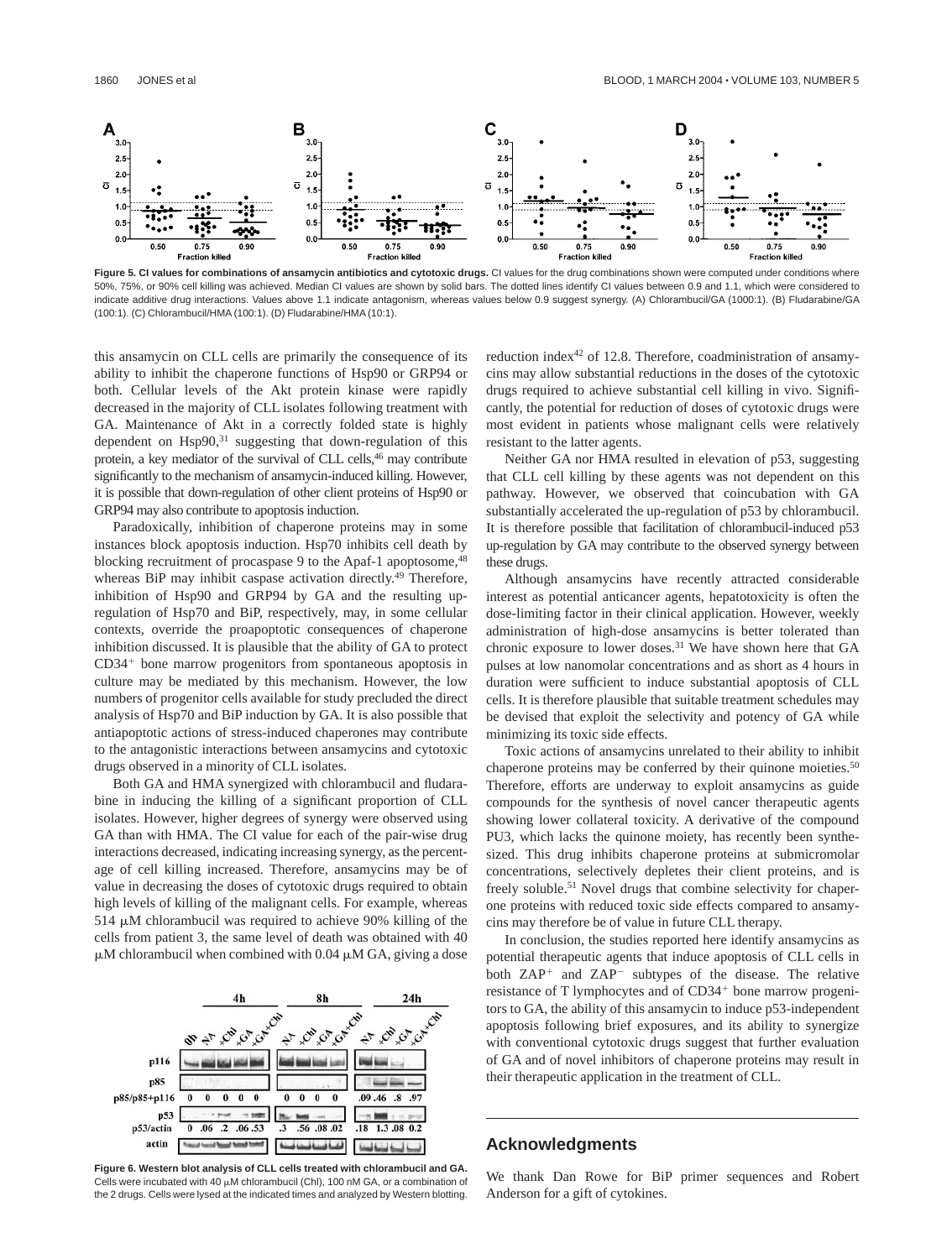![](_page_5_Figure_2.jpeg)

**Figure 5. CI values for combinations of ansamycin antibiotics and cytotoxic drugs.** CI values for the drug combinations shown were computed under conditions where 50%, 75%, or 90% cell killing was achieved. Median CI values are shown by solid bars. The dotted lines identify CI values between 0.9 and 1.1, which were considered to indicate additive drug interactions. Values above 1.1 indicate antagonism, whereas values below 0.9 suggest synergy. (A) Chlorambucil/GA (1000:1). (B) Fludarabine/GA (100:1). (C) Chlorambucil/HMA (100:1). (D) Fludarabine/HMA (10:1).

this ansamycin on CLL cells are primarily the consequence of its ability to inhibit the chaperone functions of Hsp90 or GRP94 or both. Cellular levels of the Akt protein kinase were rapidly decreased in the majority of CLL isolates following treatment with GA. Maintenance of Akt in a correctly folded state is highly dependent on Hsp90,<sup>31</sup> suggesting that down-regulation of this protein, a key mediator of the survival of CLL cells,<sup>46</sup> may contribute significantly to the mechanism of ansamycin-induced killing. However, it is possible that down-regulation of other client proteins of Hsp90 or GRP94 may also contribute to apoptosis induction.

Paradoxically, inhibition of chaperone proteins may in some instances block apoptosis induction. Hsp70 inhibits cell death by blocking recruitment of procaspase 9 to the Apaf-1 apoptosome, <sup>48</sup> whereas BiP may inhibit caspase activation directly.<sup>49</sup> Therefore, inhibition of Hsp90 and GRP94 by GA and the resulting upregulation of Hsp70 and BiP, respectively, may, in some cellular contexts, override the proapoptotic consequences of chaperone inhibition discussed. It is plausible that the ability of GA to protect  $CD34<sup>+</sup>$  bone marrow progenitors from spontaneous apoptosis in culture may be mediated by this mechanism. However, the low numbers of progenitor cells available for study precluded the direct analysis of Hsp70 and BiP induction by GA. It is also possible that antiapoptotic actions of stress-induced chaperones may contribute to the antagonistic interactions between ansamycins and cytotoxic drugs observed in a minority of CLL isolates.

Both GA and HMA synergized with chlorambucil and fludarabine in inducing the killing of a significant proportion of CLL isolates. However, higher degrees of synergy were observed using GA than with HMA. The CI value for each of the pair-wise drug interactions decreased, indicating increasing synergy, as the percentage of cell killing increased. Therefore, ansamycins may be of value in decreasing the doses of cytotoxic drugs required to obtain high levels of killing of the malignant cells. For example, whereas 514  $\mu$ M chlorambucil was required to achieve 90% killing of the cells from patient 3, the same level of death was obtained with 40  $\mu$ M chlorambucil when combined with 0.04  $\mu$ M GA, giving a dose

![](_page_5_Figure_7.jpeg)

**Figure 6. Western blot analysis of CLL cells treated with chlorambucil and GA.** Cells were incubated with 40  $\mu$ M chlorambucil (Chl), 100 nM GA, or a combination of the 2 drugs. Cells were lysed at the indicated times and analyzed by Western blotting.

reduction index<sup>42</sup> of 12.8. Therefore, coadministration of ansamycins may allow substantial reductions in the doses of the cytotoxic drugs required to achieve substantial cell killing in vivo. Significantly, the potential for reduction of doses of cytotoxic drugs were most evident in patients whose malignant cells were relatively resistant to the latter agents.

Neither GA nor HMA resulted in elevation of p53, suggesting that CLL cell killing by these agents was not dependent on this pathway. However, we observed that coincubation with GA substantially accelerated the up-regulation of p53 by chlorambucil. It is therefore possible that facilitation of chlorambucil-induced p53 up-regulation by GA may contribute to the observed synergy between these drugs.

Although ansamycins have recently attracted considerable interest as potential anticancer agents, hepatotoxicity is often the dose-limiting factor in their clinical application. However, weekly administration of high-dose ansamycins is better tolerated than chronic exposure to lower doses.31 We have shown here that GA pulses at low nanomolar concentrations and as short as 4 hours in duration were sufficient to induce substantial apoptosis of CLL cells. It is therefore plausible that suitable treatment schedules may be devised that exploit the selectivity and potency of GA while minimizing its toxic side effects.

Toxic actions of ansamycins unrelated to their ability to inhibit chaperone proteins may be conferred by their quinone moieties.<sup>50</sup> Therefore, efforts are underway to exploit ansamycins as guide compounds for the synthesis of novel cancer therapeutic agents showing lower collateral toxicity. A derivative of the compound PU3, which lacks the quinone moiety, has recently been synthesized. This drug inhibits chaperone proteins at submicromolar concentrations, selectively depletes their client proteins, and is freely soluble.51 Novel drugs that combine selectivity for chaperone proteins with reduced toxic side effects compared to ansamycins may therefore be of value in future CLL therapy.

In conclusion, the studies reported here identify ansamycins as potential therapeutic agents that induce apoptosis of CLL cells in both ZAP<sup>+</sup> and ZAP<sup>-</sup> subtypes of the disease. The relative resistance of T lymphocytes and of CD34<sup>+</sup> bone marrow progenitors to GA, the ability of this ansamycin to induce p53-independent apoptosis following brief exposures, and its ability to synergize with conventional cytotoxic drugs suggest that further evaluation of GA and of novel inhibitors of chaperone proteins may result in their therapeutic application in the treatment of CLL.

## **Acknowledgments**

We thank Dan Rowe for BiP primer sequences and Robert Anderson for a gift of cytokines.